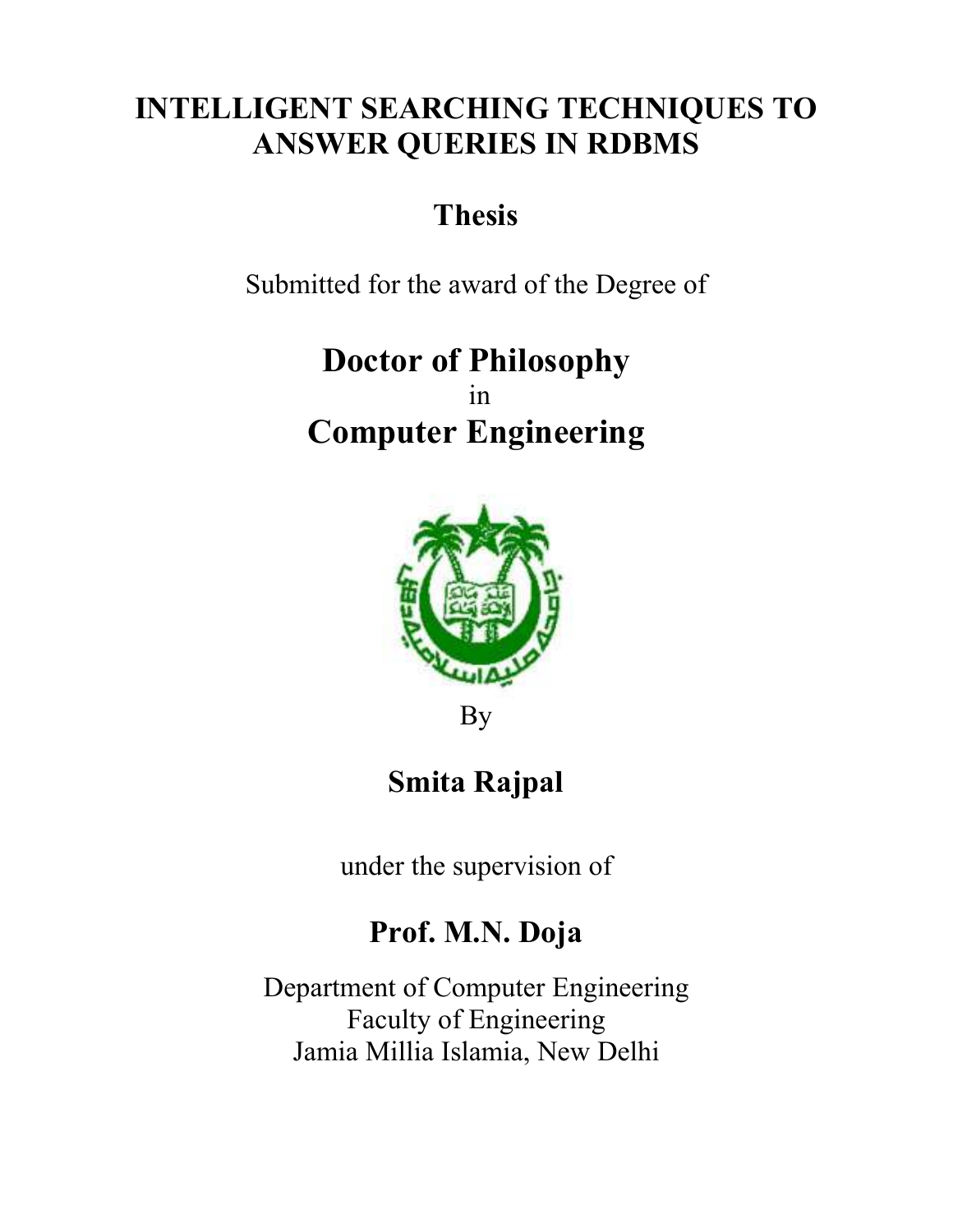#### INTELLIGENT SEARCHING TECHNIQUES TO ANSWER QUERIES IN RDBMS

# Thesis

Submitted for the award of the Degree of

# Doctor of Philosophy in Computer Engineering



By

# Smita Rajpal

under the supervision of

#### Prof. M.N. Doja

Department of Computer Engineering Faculty of Engineering Jamia Millia Islamia, New Delhi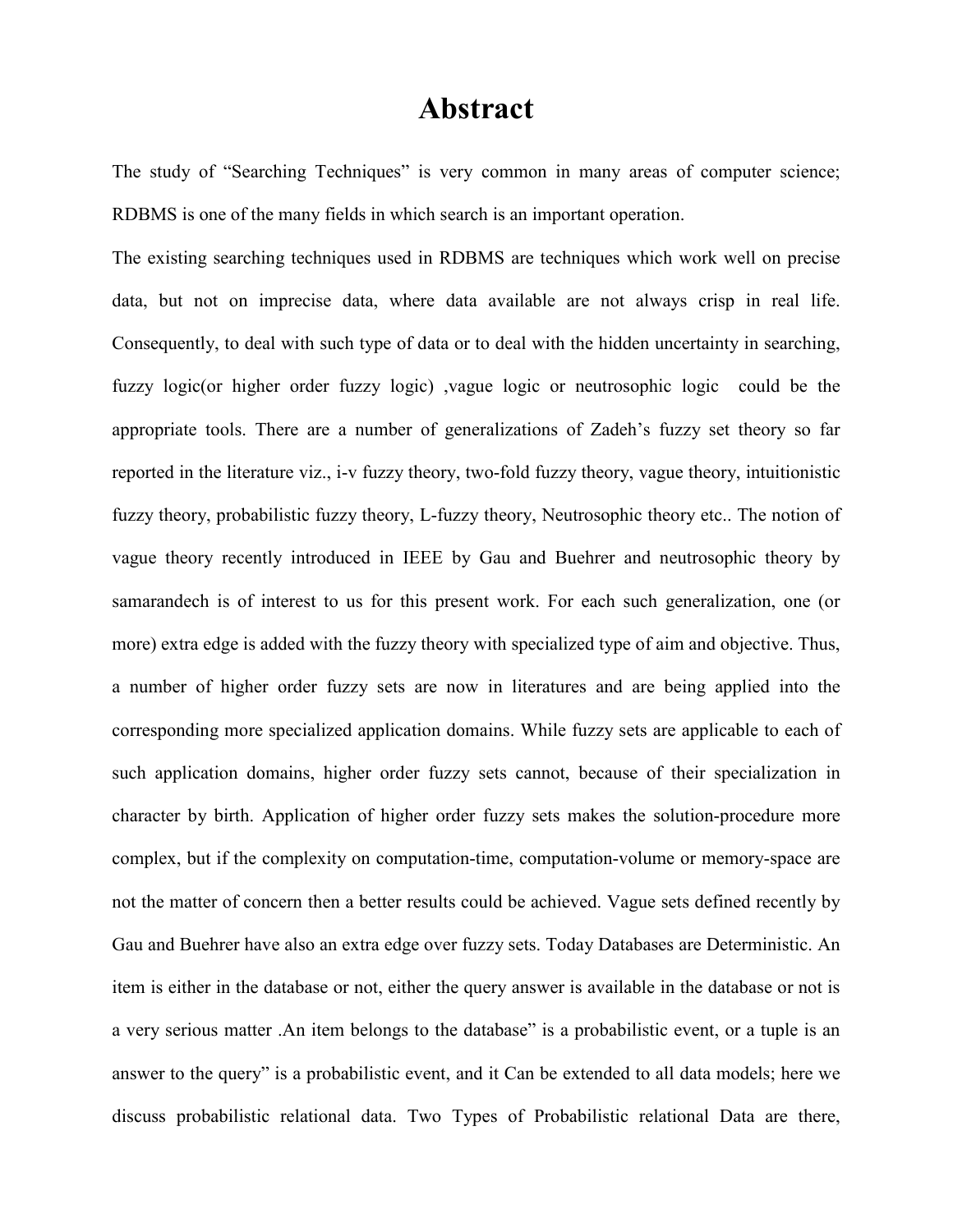#### Abstract

The study of "Searching Techniques" is very common in many areas of computer science; RDBMS is one of the many fields in which search is an important operation.

The existing searching techniques used in RDBMS are techniques which work well on precise data, but not on imprecise data, where data available are not always crisp in real life. Consequently, to deal with such type of data or to deal with the hidden uncertainty in searching, fuzzy logic(or higher order fuzzy logic) ,vague logic or neutrosophic logic could be the appropriate tools. There are a number of generalizations of Zadeh's fuzzy set theory so far reported in the literature viz., i-v fuzzy theory, two-fold fuzzy theory, vague theory, intuitionistic fuzzy theory, probabilistic fuzzy theory, L-fuzzy theory, Neutrosophic theory etc.. The notion of vague theory recently introduced in IEEE by Gau and Buehrer and neutrosophic theory by samarandech is of interest to us for this present work. For each such generalization, one (or more) extra edge is added with the fuzzy theory with specialized type of aim and objective. Thus, a number of higher order fuzzy sets are now in literatures and are being applied into the corresponding more specialized application domains. While fuzzy sets are applicable to each of such application domains, higher order fuzzy sets cannot, because of their specialization in character by birth. Application of higher order fuzzy sets makes the solution-procedure more complex, but if the complexity on computation-time, computation-volume or memory-space are not the matter of concern then a better results could be achieved. Vague sets defined recently by Gau and Buehrer have also an extra edge over fuzzy sets. Today Databases are Deterministic. An item is either in the database or not, either the query answer is available in the database or not is a very serious matter .An item belongs to the database" is a probabilistic event, or a tuple is an answer to the query" is a probabilistic event, and it Can be extended to all data models; here we discuss probabilistic relational data. Two Types of Probabilistic relational Data are there,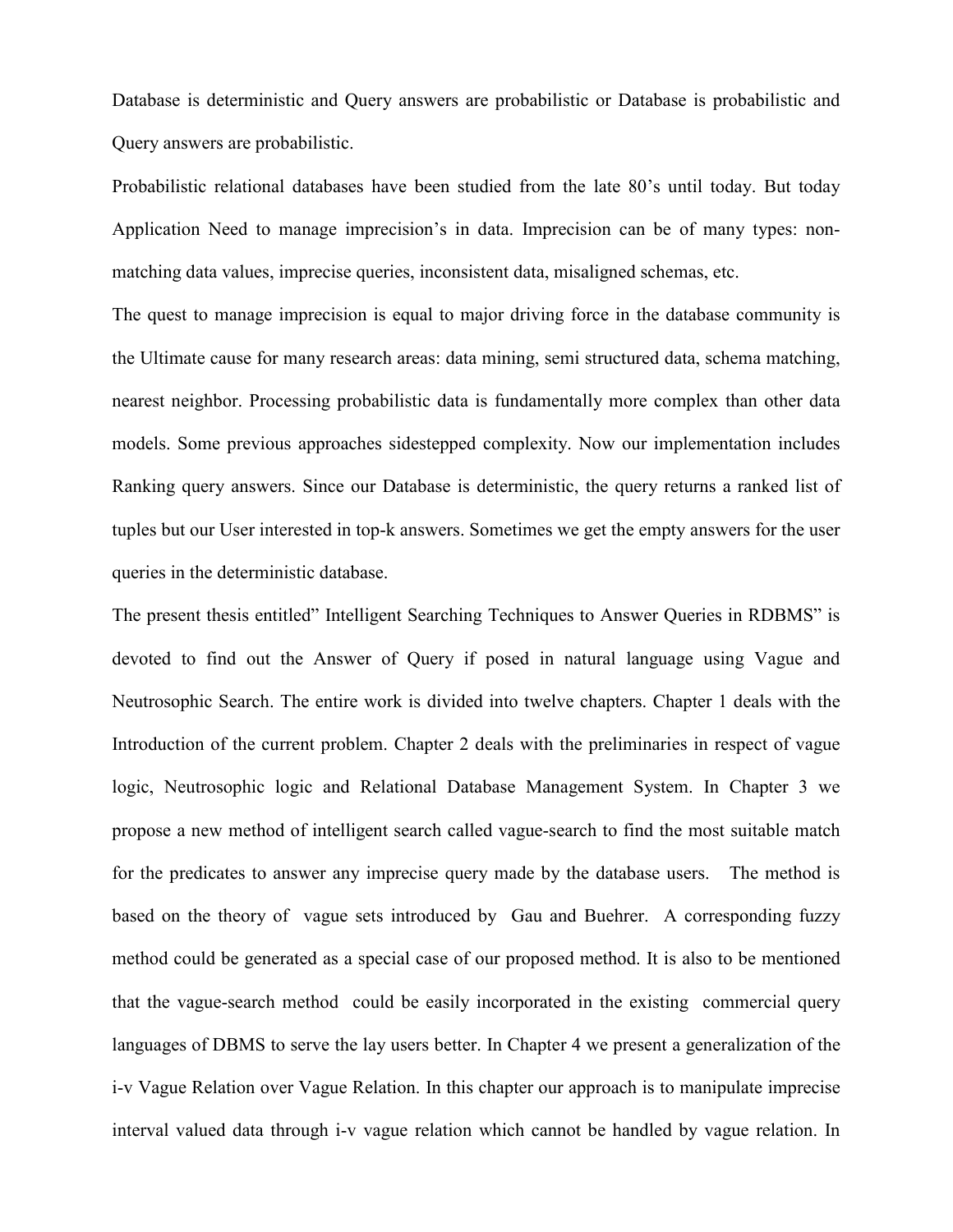Database is deterministic and Query answers are probabilistic or Database is probabilistic and Query answers are probabilistic.

Probabilistic relational databases have been studied from the late 80's until today. But today Application Need to manage imprecision's in data. Imprecision can be of many types: nonmatching data values, imprecise queries, inconsistent data, misaligned schemas, etc.

The quest to manage imprecision is equal to major driving force in the database community is the Ultimate cause for many research areas: data mining, semi structured data, schema matching, nearest neighbor. Processing probabilistic data is fundamentally more complex than other data models. Some previous approaches sidestepped complexity. Now our implementation includes Ranking query answers. Since our Database is deterministic, the query returns a ranked list of tuples but our User interested in top-k answers. Sometimes we get the empty answers for the user queries in the deterministic database.

The present thesis entitled" Intelligent Searching Techniques to Answer Queries in RDBMS" is devoted to find out the Answer of Query if posed in natural language using Vague and Neutrosophic Search. The entire work is divided into twelve chapters. Chapter 1 deals with the Introduction of the current problem. Chapter 2 deals with the preliminaries in respect of vague logic, Neutrosophic logic and Relational Database Management System. In Chapter 3 we propose a new method of intelligent search called vague-search to find the most suitable match for the predicates to answer any imprecise query made by the database users. The method is based on the theory of vague sets introduced by Gau and Buehrer. A corresponding fuzzy method could be generated as a special case of our proposed method. It is also to be mentioned that the vague-search method could be easily incorporated in the existing commercial query languages of DBMS to serve the lay users better. In Chapter 4 we present a generalization of the i-v Vague Relation over Vague Relation. In this chapter our approach is to manipulate imprecise interval valued data through i-v vague relation which cannot be handled by vague relation. In